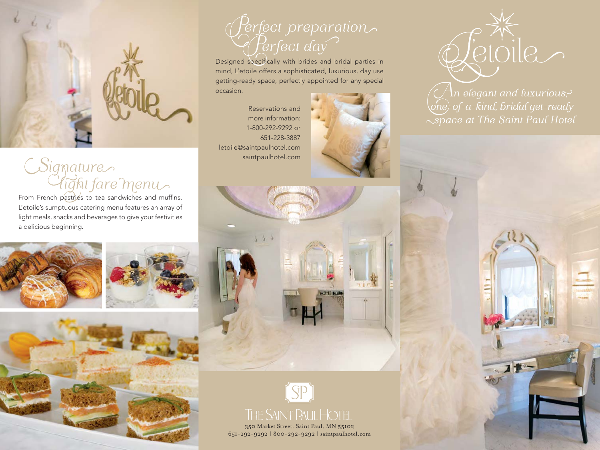

## Signature<br>Clight fare menu

L'etoile's sumptuous catering menu features an array of light meals, snacks and beverages to give your festivities a delicious beginning.







## Perfect preparation

Designed specifically with brides and bridal parties in mind, L'etoile offers a sophisticated, luxurious, day use getting-ready space, perfectly appointed for any special occasion.

Reservations and more information: 1-800-292-9292 or 651-228-3887 letoile@saintpaulhotel.com saintpaulhotel.com





*(* Ån elegant and luxurious;><br>one}-of-a-kind, bridal get-ready Space at The Saint Paul Hotel

 $7<sup>1</sup>$ 



350 Market Street, Saint Paul, MN 55102 651-292-9292 | 800-292-9292 | saintpaulhotel.com